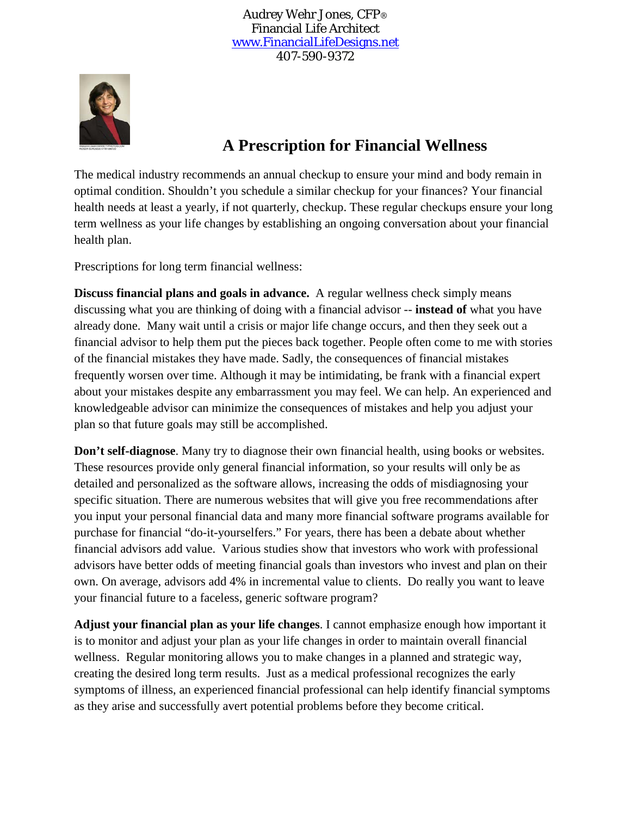Audrey Wehr Jones, CFP® Financial Life Architect [www.FinancialLifeDesigns.net](http://www.financiallifedesigns.net/) 407-590-9372



## **A Prescription for Financial Wellness**

The medical industry recommends an annual checkup to ensure your mind and body remain in optimal condition. Shouldn't you schedule a similar checkup for your finances? Your financial health needs at least a yearly, if not quarterly, checkup. These regular checkups ensure your long term wellness as your life changes by establishing an ongoing conversation about your financial health plan.

Prescriptions for long term financial wellness:

**Discuss financial plans and goals in advance.** A regular wellness check simply means discussing what you are thinking of doing with a financial advisor -- **instead of** what you have already done. Many wait until a crisis or major life change occurs, and then they seek out a financial advisor to help them put the pieces back together. People often come to me with stories of the financial mistakes they have made. Sadly, the consequences of financial mistakes frequently worsen over time. Although it may be intimidating, be frank with a financial expert about your mistakes despite any embarrassment you may feel. We can help. An experienced and knowledgeable advisor can minimize the consequences of mistakes and help you adjust your plan so that future goals may still be accomplished.

**Don't self-diagnose**. Many try to diagnose their own financial health, using books or websites. These resources provide only general financial information, so your results will only be as detailed and personalized as the software allows, increasing the odds of misdiagnosing your specific situation. There are numerous websites that will give you free recommendations after you input your personal financial data and many more financial software programs available for purchase for financial "do-it-yourselfers." For years, there has been a debate about whether financial advisors add value. Various studies show that investors who work with professional advisors have better odds of meeting financial goals than investors who invest and plan on their own. On average, advisors add 4% in incremental value to clients. Do really you want to leave your financial future to a faceless, generic software program?

**Adjust your financial plan as your life changes**. I cannot emphasize enough how important it is to monitor and adjust your plan as your life changes in order to maintain overall financial wellness. Regular monitoring allows you to make changes in a planned and strategic way, creating the desired long term results. Just as a medical professional recognizes the early symptoms of illness, an experienced financial professional can help identify financial symptoms as they arise and successfully avert potential problems before they become critical.